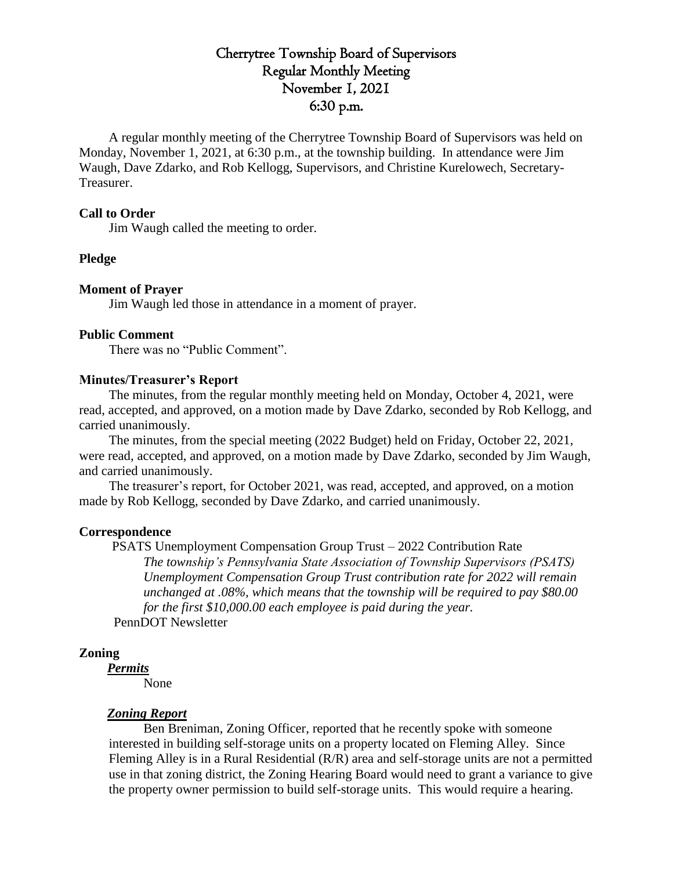# Cherrytree Township Board of Supervisors Regular Monthly Meeting November 1, 2021 6:30 p.m.

A regular monthly meeting of the Cherrytree Township Board of Supervisors was held on Monday, November 1, 2021, at 6:30 p.m., at the township building. In attendance were Jim Waugh, Dave Zdarko, and Rob Kellogg, Supervisors, and Christine Kurelowech, Secretary-Treasurer.

## **Call to Order**

Jim Waugh called the meeting to order.

#### **Pledge**

#### **Moment of Prayer**

Jim Waugh led those in attendance in a moment of prayer.

#### **Public Comment**

There was no "Public Comment".

## **Minutes/Treasurer's Report**

The minutes, from the regular monthly meeting held on Monday, October 4, 2021, were read, accepted, and approved, on a motion made by Dave Zdarko, seconded by Rob Kellogg, and carried unanimously.

The minutes, from the special meeting (2022 Budget) held on Friday, October 22, 2021, were read, accepted, and approved, on a motion made by Dave Zdarko, seconded by Jim Waugh, and carried unanimously.

The treasurer's report, for October 2021, was read, accepted, and approved, on a motion made by Rob Kellogg, seconded by Dave Zdarko, and carried unanimously.

#### **Correspondence**

PSATS Unemployment Compensation Group Trust – 2022 Contribution Rate *The township's Pennsylvania State Association of Township Supervisors (PSATS) Unemployment Compensation Group Trust contribution rate for 2022 will remain unchanged at .08%, which means that the township will be required to pay \$80.00 for the first \$10,000.00 each employee is paid during the year.* 

PennDOT Newsletter

## **Zoning**

*Permits*

None

## *Zoning Report*

Ben Breniman, Zoning Officer, reported that he recently spoke with someone interested in building self-storage units on a property located on Fleming Alley. Since Fleming Alley is in a Rural Residential (R/R) area and self-storage units are not a permitted use in that zoning district, the Zoning Hearing Board would need to grant a variance to give the property owner permission to build self-storage units. This would require a hearing.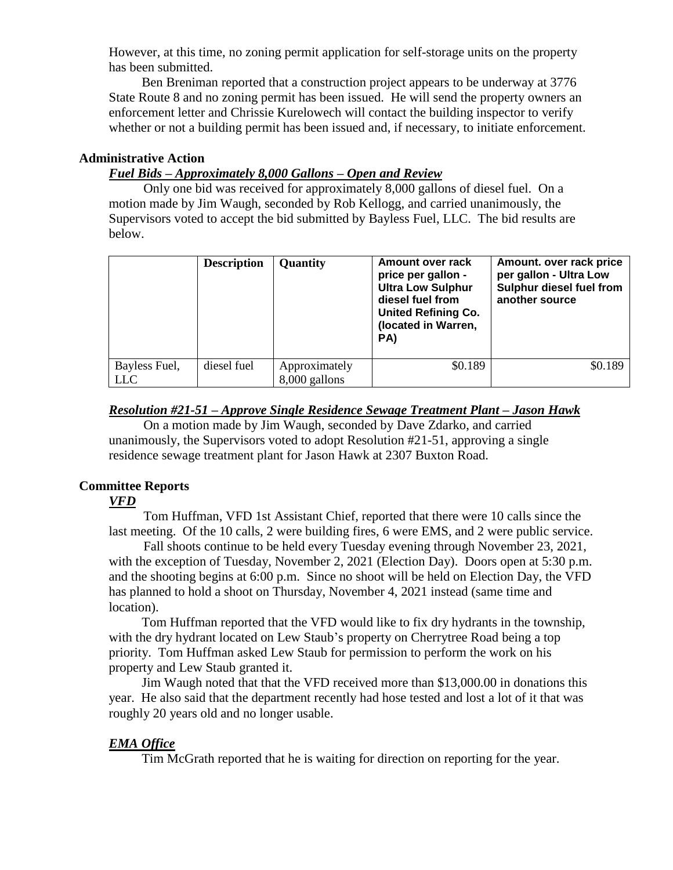However, at this time, no zoning permit application for self-storage units on the property has been submitted.

 Ben Breniman reported that a construction project appears to be underway at 3776 State Route 8 and no zoning permit has been issued. He will send the property owners an enforcement letter and Chrissie Kurelowech will contact the building inspector to verify whether or not a building permit has been issued and, if necessary, to initiate enforcement.

# **Administrative Action**

## *Fuel Bids – Approximately 8,000 Gallons – Open and Review*

Only one bid was received for approximately 8,000 gallons of diesel fuel. On a motion made by Jim Waugh, seconded by Rob Kellogg, and carried unanimously, the Supervisors voted to accept the bid submitted by Bayless Fuel, LLC. The bid results are below.

|               | <b>Description</b> | Quantity      | Amount over rack<br>price per gallon -<br><b>Ultra Low Sulphur</b><br>diesel fuel from<br><b>United Refining Co.</b><br>(located in Warren,<br>PA) | Amount. over rack price<br>per gallon - Ultra Low<br>Sulphur diesel fuel from<br>another source |
|---------------|--------------------|---------------|----------------------------------------------------------------------------------------------------------------------------------------------------|-------------------------------------------------------------------------------------------------|
| Bayless Fuel, | diesel fuel        | Approximately | \$0.189                                                                                                                                            | \$0.189                                                                                         |
| LLC           |                    | 8,000 gallons |                                                                                                                                                    |                                                                                                 |

## *Resolution #21-51 – Approve Single Residence Sewage Treatment Plant – Jason Hawk*

On a motion made by Jim Waugh, seconded by Dave Zdarko, and carried unanimously, the Supervisors voted to adopt Resolution #21-51, approving a single residence sewage treatment plant for Jason Hawk at 2307 Buxton Road.

## **Committee Reports**

## *VFD*

Tom Huffman, VFD 1st Assistant Chief, reported that there were 10 calls since the last meeting. Of the 10 calls, 2 were building fires, 6 were EMS, and 2 were public service.

Fall shoots continue to be held every Tuesday evening through November 23, 2021, with the exception of Tuesday, November 2, 2021 (Election Day). Doors open at 5:30 p.m. and the shooting begins at 6:00 p.m. Since no shoot will be held on Election Day, the VFD has planned to hold a shoot on Thursday, November 4, 2021 instead (same time and location).

Tom Huffman reported that the VFD would like to fix dry hydrants in the township, with the dry hydrant located on Lew Staub's property on Cherrytree Road being a top priority. Tom Huffman asked Lew Staub for permission to perform the work on his property and Lew Staub granted it.

Jim Waugh noted that that the VFD received more than \$13,000.00 in donations this year. He also said that the department recently had hose tested and lost a lot of it that was roughly 20 years old and no longer usable.

## *EMA Office*

Tim McGrath reported that he is waiting for direction on reporting for the year.